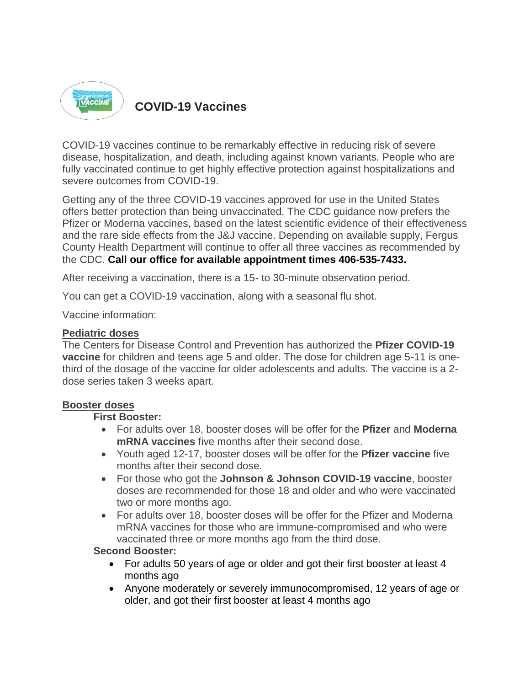

## **COVID-19 Vaccines**

COVID-19 vaccines continue to be remarkably effective in reducing risk of severe disease, hospitalization, and death, including against known variants. People who are fully vaccinated continue to get highly effective protection against hospitalizations and severe outcomes from COVID-19.

Getting any of the three COVID-19 vaccines approved for use in the United States offers better protection than being unvaccinated. The CDC guidance now prefers the Pfizer or Moderna vaccines, based on the latest scientific evidence of their effectiveness and the rare side effects from the J&J vaccine. Depending on available supply, Fergus County Health Department will continue to offer all three vaccines as recommended by the CDC. **Call our office for available appointment times 406-535-7433.**

After receiving a vaccination, there is a 15- to 30-minute observation period.

You can get a COVID-19 vaccination, along with a seasonal flu shot.

Vaccine information:

#### **Pediatric doses**

The Centers for Disease Control and Prevention has authorized the **Pfizer COVID-19 vaccine** for children and teens age 5 and older. The dose for children age 5-11 is onethird of the dosage of the vaccine for older adolescents and adults. The vaccine is a 2 dose series taken 3 weeks apart.

#### **Booster doses**

#### **First Booster:**

- For adults over 18, booster doses will be offer for the **Pfizer** and **Moderna mRNA vaccines** five months after their second dose.
- Youth aged 12-17, booster doses will be offer for the **Pfizer vaccine** five months after their second dose.
- For those who got the **Johnson & Johnson COVID-19 vaccine**, booster doses are recommended for those 18 and older and who were vaccinated two or more months ago.
- For adults over 18, booster doses will be offer for the Pfizer and Moderna mRNA vaccines for those who are immune-compromised and who were vaccinated three or more months ago from the third dose.

#### **Second Booster:**

- For adults 50 years of age or older and got their first booster at least 4 months ago
- Anyone moderately or severely immunocompromised, 12 years of age or older, and got their first booster at least 4 months ago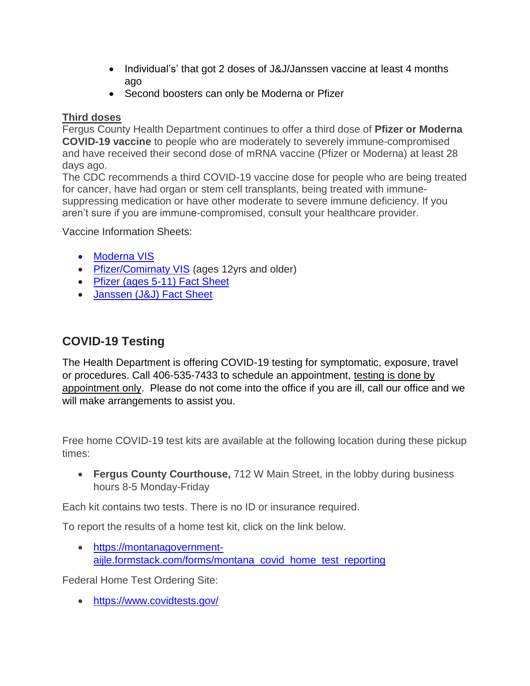- Individual's' that got 2 doses of J&J/Janssen vaccine at least 4 months ago
- Second boosters can only be Moderna or Pfizer

### **Third doses**

Fergus County Health Department continues to offer a third dose of **Pfizer or Moderna COVID-19 vaccine** to people who are moderately to severely immune-compromised and have received their second dose of mRNA vaccine (Pfizer or Moderna) at least 28 days ago.

The CDC recommends a third COVID-19 vaccine dose for people who are being treated for cancer, have had organ or stem cell transplants, being treated with immunesuppressing medication or have other moderate to severe immune deficiency. If you aren't sure if you are immune-compromised, consult your healthcare provider.

Vaccine Information Sheets:

- [Moderna VIS](https://www.fda.gov/media/144638/download)
- [Pfizer/Comirnaty VIS](https://www.fda.gov/media/153716/download) (ages 12yrs and older)
- [Pfizer \(ages 5-11\)](https://www.fda.gov/media/153717/download) Fact Sheet
- [Janssen \(J&J\) Fact Sheet](https://www.fda.gov/media/146305/download)

# **COVID-19 Testing**

The Health Department is offering COVID-19 testing for symptomatic, exposure, travel or procedures. Call 406-535-7433 to schedule an appointment, testing is done by appointment only. Please do not come into the office if you are ill, call our office and we will make arrangements to assist you.

Free home COVID-19 test kits are available at the following location during these pickup times:

 **Fergus County Courthouse,** 712 W Main Street, in the lobby during business hours 8-5 Monday-Friday

Each kit contains two tests. There is no ID or insurance required.

To report the results of a home test kit, click on the link below.

 [https://montanagovernment](https://montanagovernment-aijle.formstack.com/forms/montana_covid_home_test_reporting)[aijle.formstack.com/forms/montana\\_covid\\_home\\_test\\_reporting](https://montanagovernment-aijle.formstack.com/forms/montana_covid_home_test_reporting)

Federal Home Test Ordering Site:

<https://www.covidtests.gov/>